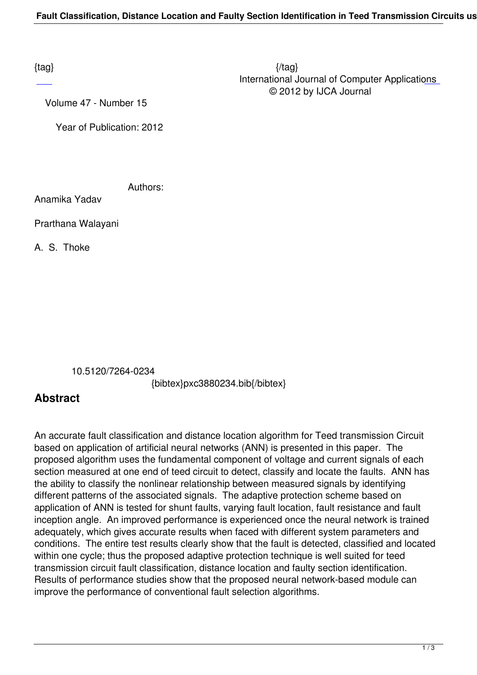$\{tag\}$  International Journal of Computer Applications © 2012 by IJCA Journal

Volume 47 - Number 15

Year of Publication: 2012

Authors:

Anamika Yadav

Prarthana Walayani

A. S. Thoke

10.5120/7264-0234

{bibtex}pxc3880234.bib{/bibtex}

## **Abstract**

An accurate fault classification and distance location algorithm for Teed transmission Circuit based on application of artificial neural networks (ANN) is presented in this paper. The proposed algorithm uses the fundamental component of voltage and current signals of each section measured at one end of teed circuit to detect, classify and locate the faults. ANN has the ability to classify the nonlinear relationship between measured signals by identifying different patterns of the associated signals. The adaptive protection scheme based on application of ANN is tested for shunt faults, varying fault location, fault resistance and fault inception angle. An improved performance is experienced once the neural network is trained adequately, which gives accurate results when faced with different system parameters and conditions. The entire test results clearly show that the fault is detected, classified and located within one cycle; thus the proposed adaptive protection technique is well suited for teed transmission circuit fault classification, distance location and faulty section identification. Results of performance studies show that the proposed neural network-based module can improve the performance of conventional fault selection algorithms.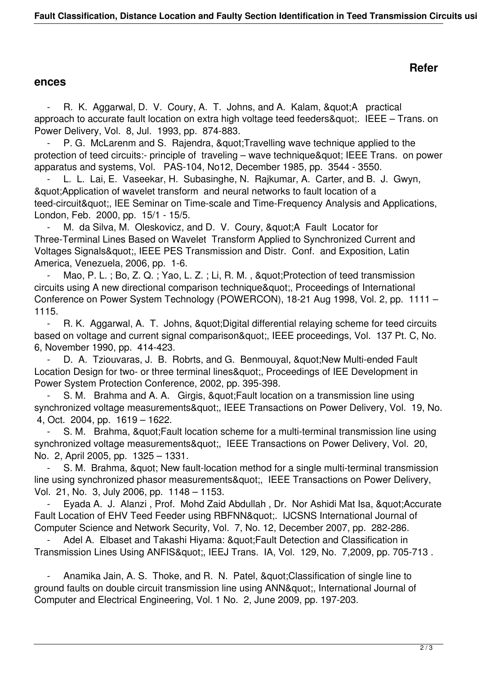## **Refer**

## **ences**

R. K. Aggarwal, D. V. Coury, A. T. Johns, and A. Kalam, & quot; A practical approach to accurate fault location on extra high voltage teed feeders&quot:. IEEE – Trans. on Power Delivery, Vol. 8, Jul. 1993, pp. 874-883.

P. G. McLarenm and S. Rajendra, " Travelling wave technique applied to the protection of teed circuits:- principle of traveling – wave technique" IEEE Trans. on power apparatus and systems, Vol. PAS-104, No12, December 1985, pp. 3544 - 3550.

L. L. Lai, E. Vaseekar, H. Subasinghe, N. Rajkumar, A. Carter, and B. J. Gwyn, "Application of wavelet transform and neural networks to fault location of a teed-circuit", IEE Seminar on Time-scale and Time-Frequency Analysis and Applications, London, Feb. 2000, pp. 15/1 - 15/5.

M. da Silva, M. Oleskovicz, and D. V. Coury, " A Fault Locator for Three-Terminal Lines Based on Wavelet Transform Applied to Synchronized Current and Voltages Signals", IEEE PES Transmission and Distr. Conf. and Exposition, Latin America, Venezuela, 2006, pp. 1-6.

Mao, P. L.; Bo, Z. Q.; Yao, L. Z.; Li, R. M., " Protection of teed transmission circuits using A new directional comparison technique", Proceedings of International Conference on Power System Technology (POWERCON), 18-21 Aug 1998, Vol. 2, pp. 1111 – 1115.

R. K. Aggarwal, A. T. Johns, &guot; Digital differential relaying scheme for teed circuits based on voltage and current signal comparison", IEEE proceedings, Vol. 137 Pt. C, No. 6, November 1990, pp. 414-423.

D. A. Tziouvaras, J. B. Robrts, and G. Benmouyal, " New Multi-ended Fault Location Design for two- or three terminal lines", Proceedings of IEE Development in Power System Protection Conference, 2002, pp. 395-398.

S. M. Brahma and A. A. Girgis, & quot; Fault location on a transmission line using synchronized voltage measurements", IEEE Transactions on Power Delivery, Vol. 19, No. 4, Oct. 2004, pp. 1619 – 1622.

S. M. Brahma, & quot; Fault location scheme for a multi-terminal transmission line using synchronized voltage measurements", IEEE Transactions on Power Delivery, Vol. 20, No. 2, April 2005, pp. 1325 – 1331.

S. M. Brahma, & quot; New fault-location method for a single multi-terminal transmission line using synchronized phasor measurements", IEEE Transactions on Power Delivery, Vol. 21, No. 3, July 2006, pp. 1148 – 1153.

Eyada A. J. Alanzi, Prof. Mohd Zaid Abdullah, Dr. Nor Ashidi Mat Isa, &quot:Accurate Fault Location of EHV Teed Feeder using RBFNN". IJCSNS International Journal of Computer Science and Network Security, Vol. 7, No. 12, December 2007, pp. 282-286.

Adel A. Elbaset and Takashi Hiyama: " Fault Detection and Classification in Transmission Lines Using ANFIS", IEEJ Trans. IA, Vol. 129, No. 7,2009, pp. 705-713.

Anamika Jain, A. S. Thoke, and R. N. Patel, " Classification of single line to ground faults on double circuit transmission line using ANN", International Journal of Computer and Electrical Engineering, Vol. 1 No. 2, June 2009, pp. 197-203.